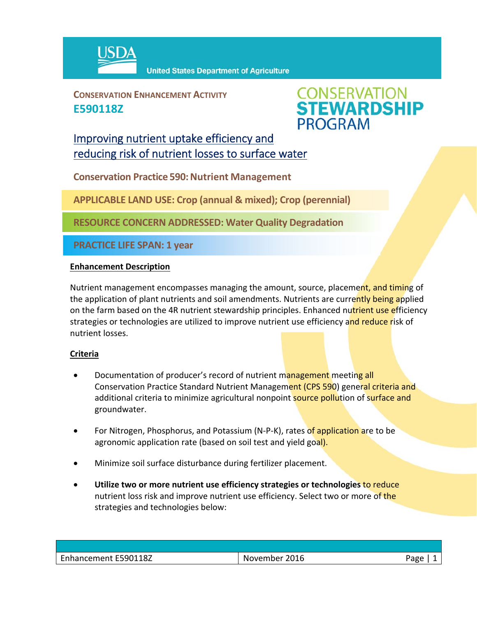

**CONSERVATION ENHANCEMENT ACTIVITY E590118Z**



## Improving nutrient uptake efficiency and reducing risk of nutrient losses to surface water

**Conservation Practice 590: Nutrient Management** 

**APPLICABLE LAND USE: Crop (annual & mixed); Crop (perennial)**

**RESOURCE CONCERN ADDRESSED: Water Quality Degradation**

**PRACTICE LIFE SPAN: 1 year**

### **Enhancement Description**

Nutrient management encompasses managing the amount, source, placement, and timing of the application of plant nutrients and soil amendments. Nutrients are currently being applied on the farm based on the 4R nutrient stewardship principles. Enhanced nutrient use efficiency strategies or technologies are utilized to improve nutrient use efficiency and reduce risk of nutrient losses.

### **Criteria**

- Documentation of producer's record of nutrient management meeting all Conservation Practice Standard Nutrient Management (CPS 590) general criteria and additional criteria to minimize agricultural nonpoint source pollution of surface and groundwater.
- For Nitrogen, Phosphorus, and Potassium (N-P-K), rates of application are to be agronomic application rate (based on soil test and yield goal).
- Minimize soil surface disturbance during fertilizer placement.
- **Utilize two or more nutrient use efficiency strategies or technologies** to reduce nutrient loss risk and improve nutrient use efficiency. Select two or more of the strategies and technologies below:

| Enhancement E590118Z | November 2016 | Page |
|----------------------|---------------|------|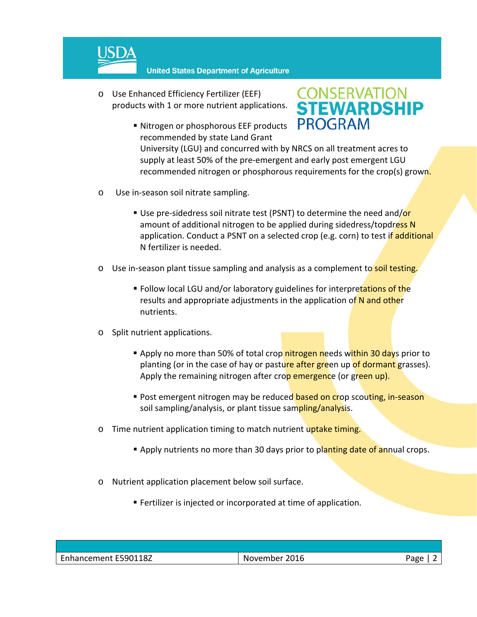

**United States Department of Agriculture** 

- o Use Enhanced Efficiency Fertilizer (EEF) products with 1 or more nutrient applications.
	- Nitrogen or phosphorous EEF products recommended by state Land Grant

# **CONSERVATION<br>STEWARDSHIP PROGRAM**

University (LGU) and concurred with by NRCS on all treatment acres to supply at least 50% of the pre-emergent and early post emergent LGU recommended nitrogen or phosphorous requirements for the crop(s) grown.

- o Use in‐season soil nitrate sampling.
	- Use pre-sidedress soil nitrate test (PSNT) to determine the need and/or amount of additional nitrogen to be applied during sidedress/topdress N application. Conduct a PSNT on a selected crop (e.g. corn) to test if additional N fertilizer is needed.
- Use in-season plant tissue sampling and analysis as a complement to soil testing.
	- **Follow local LGU and/or laboratory guidelines for interpretations of the** results and appropriate adjustments in the application of N and other nutrients.
- o Split nutrient applications.
	- **Apply no more than 50% of total crop nitrogen needs within 30 days prior to** planting (or in the case of hay or pasture after green up of dormant grasses). Apply the remaining nitrogen after crop emergence (or green up).
	- Post emergent nitrogen may be reduced based on crop scouting, in-season soil sampling/analysis, or plant tissue sampling/analysis.
- o Time nutrient application timing to match nutrient uptake timing.
	- **Apply nutrients no more than 30 days prior to planting date of annual crops.**
- o Nutrient application placement below soil surface.
	- **Fertilizer is injected or incorporated at time of application.**

| Enhancement E590118Z | November 2016 | Page |
|----------------------|---------------|------|